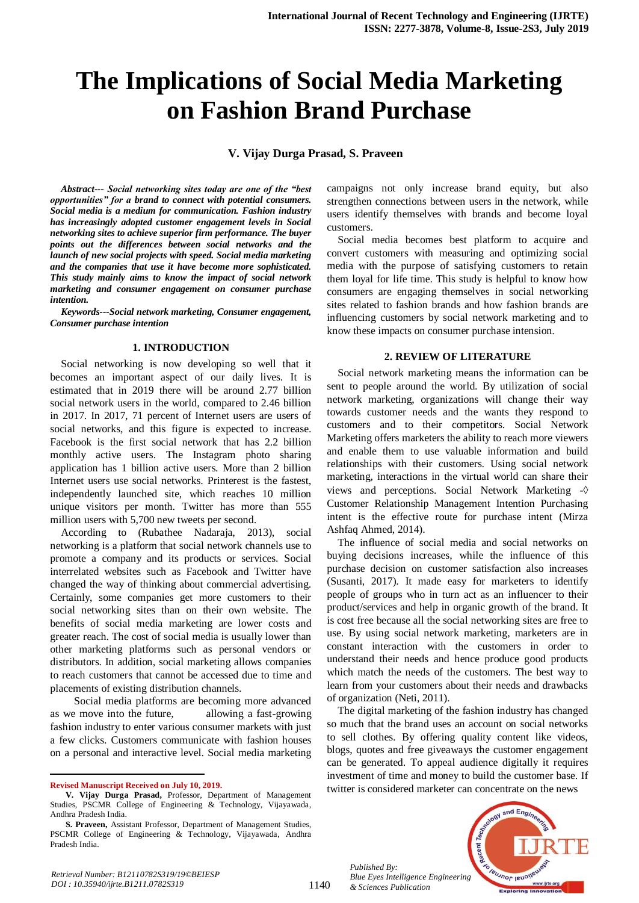# **The Implications of Social Media Marketing on Fashion Brand Purchase**

**V. Vijay Durga Prasad, S. Praveen**

*Abstract--- Social networking sites today are one of the "best opportunities" for a brand to connect with potential consumers. Social media is a medium for communication. Fashion industry has increasingly adopted customer engagement levels in Social networking sites to achieve superior firm performance. The buyer points out the differences between social networks and the launch of new social projects with speed. Social media marketing and the companies that use it have become more sophisticated. This study mainly aims to know the impact of social network marketing and consumer engagement on consumer purchase intention.*

*Keywords---Social network marketing, Consumer engagement, Consumer purchase intention*

#### **1. INTRODUCTION**

Social networking is now developing so well that it becomes an important aspect of our daily lives. It is estimated that in 2019 there will be around 2.77 billion social network users in the world, compared to 2.46 billion in 2017. In 2017, 71 percent of Internet users are users of social networks, and this figure is expected to increase. Facebook is the first social network that has 2.2 billion monthly active users. The Instagram photo sharing application has 1 billion active users. More than 2 billion Internet users use social networks. Printerest is the fastest, independently launched site, which reaches 10 million unique visitors per month. Twitter has more than 555 million users with 5,700 new tweets per second.

According to (Rubathee Nadaraja, 2013), social networking is a platform that social network channels use to promote a company and its products or services. Social interrelated websites such as Facebook and Twitter have changed the way of thinking about commercial advertising. Certainly, some companies get more customers to their social networking sites than on their own website. The benefits of social media marketing are lower costs and greater reach. The cost of social media is usually lower than other marketing platforms such as personal vendors or distributors. In addition, social marketing allows companies to reach customers that cannot be accessed due to time and placements of existing distribution channels.

 Social media platforms are becoming more advanced as we move into the future, allowing a fast-growing fashion industry to enter various consumer markets with just a few clicks. Customers communicate with fashion houses on a personal and interactive level. Social media marketing

 $\overline{a}$ 

campaigns not only increase brand equity, but also strengthen connections between users in the network, while users identify themselves with brands and become loyal customers.

Social media becomes best platform to acquire and convert customers with measuring and optimizing social media with the purpose of satisfying customers to retain them loyal for life time. This study is helpful to know how consumers are engaging themselves in social networking sites related to fashion brands and how fashion brands are influencing customers by social network marketing and to know these impacts on consumer purchase intension.

### **2. REVIEW OF LITERATURE**

Social network marketing means the information can be sent to people around the world. By utilization of social network marketing, organizations will change their way towards customer needs and the wants they respond to customers and to their competitors. Social Network Marketing offers marketers the ability to reach more viewers and enable them to use valuable information and build relationships with their customers. Using social network marketing, interactions in the virtual world can share their views and perceptions. Social Network Marketing - Customer Relationship Management Intention Purchasing intent is the effective route for purchase intent (Mirza Ashfaq Ahmed, 2014).

The influence of social media and social networks on buying decisions increases, while the influence of this purchase decision on customer satisfaction also increases (Susanti, 2017). It made easy for marketers to identify people of groups who in turn act as an influencer to their product/services and help in organic growth of the brand. It is cost free because all the social networking sites are free to use. By using social network marketing, marketers are in constant interaction with the customers in order to understand their needs and hence produce good products which match the needs of the customers. The best way to learn from your customers about their needs and drawbacks of organization (Neti, 2011).

The digital marketing of the fashion industry has changed so much that the brand uses an account on social networks to sell clothes. By offering quality content like videos, blogs, quotes and free giveaways the customer engagement can be generated. To appeal audience digitally it requires investment of time and money to build the customer base. If twitter is considered marketer can concentrate on the news

*Published By: Blue Eyes Intelligence Engineering & Sciences Publication* 



**Revised Manuscript Received on July 10, 2019.**

**V. Vijay Durga Prasad,** Professor, Department of Management Studies, PSCMR College of Engineering & Technology, Vijayawada, Andhra Pradesh India.

**S. Praveen,** Assistant Professor, Department of Management Studies, PSCMR College of Engineering & Technology, Vijayawada, Andhra Pradesh India.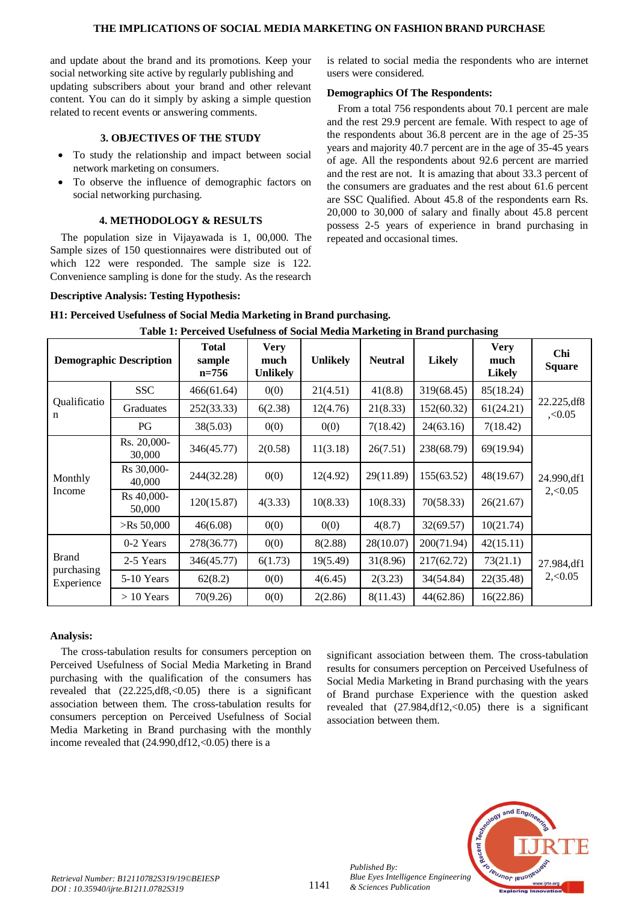and update about the brand and its promotions. Keep your social networking site active by regularly publishing and updating subscribers about your brand and other relevant content. You can do it simply by asking a simple question related to recent events or answering comments.

## **3. OBJECTIVES OF THE STUDY**

- To study the relationship and impact between social network marketing on consumers.
- To observe the influence of demographic factors on social networking purchasing.

## **4. METHODOLOGY & RESULTS**

The population size in Vijayawada is 1, 00,000. The Sample sizes of 150 questionnaires were distributed out of which 122 were responded. The sample size is 122. Convenience sampling is done for the study. As the research is related to social media the respondents who are internet users were considered.

## **Demographics Of The Respondents:**

From a total 756 respondents about 70.1 percent are male and the rest 29.9 percent are female. With respect to age of the respondents about 36.8 percent are in the age of 25-35 years and majority 40.7 percent are in the age of 35-45 years of age. All the respondents about 92.6 percent are married and the rest are not. It is amazing that about 33.3 percent of the consumers are graduates and the rest about 61.6 percent are SSC Qualified. About 45.8 of the respondents earn Rs. 20,000 to 30,000 of salary and finally about 45.8 percent possess 2-5 years of experience in brand purchasing in repeated and occasional times.

## **Descriptive Analysis: Testing Hypothesis:**

|                                          |                                |                                   | Table 1: Perceived Usefulness of Social Media Marketing in Brand purchasing |                 |                |               |                                      |                          |  |
|------------------------------------------|--------------------------------|-----------------------------------|-----------------------------------------------------------------------------|-----------------|----------------|---------------|--------------------------------------|--------------------------|--|
|                                          | <b>Demographic Description</b> | <b>Total</b><br>sample<br>$n=756$ | <b>Very</b><br>much<br><b>Unlikely</b>                                      | <b>Unlikely</b> | <b>Neutral</b> | <b>Likely</b> | <b>Very</b><br>much<br><b>Likely</b> | Chi<br><b>Square</b>     |  |
| Qualificatio<br>n                        | <b>SSC</b>                     | 466(61.64)                        | 0(0)                                                                        | 21(4.51)        | 41(8.8)        | 319(68.45)    | 85(18.24)                            |                          |  |
|                                          | Graduates                      | 252(33.33)                        | 6(2.38)                                                                     | 12(4.76)        | 21(8.33)       | 152(60.32)    | 61(24.21)                            | 22.225, df8<br>, 0.05    |  |
|                                          | PG                             | 38(5.03)                          | 0(0)                                                                        | 0(0)            | 7(18.42)       | 24(63.16)     | 7(18.42)                             |                          |  |
| Monthly<br>Income                        | Rs. 20,000-<br>30,000          | 346(45.77)                        | 2(0.58)                                                                     | 11(3.18)        | 26(7.51)       | 238(68.79)    | 69(19.94)                            | 24.990, df1<br>2, < 0.05 |  |
|                                          | Rs 30,000-<br>40,000           | 244(32.28)                        | 0(0)                                                                        | 12(4.92)        | 29(11.89)      | 155(63.52)    | 48(19.67)                            |                          |  |
|                                          | Rs 40,000-<br>50,000           | 120(15.87)                        | 4(3.33)                                                                     | 10(8.33)        | 10(8.33)       | 70(58.33)     | 26(21.67)                            |                          |  |
|                                          | $>$ Rs 50,000                  | 46(6.08)                          | 0(0)                                                                        | 0(0)            | 4(8.7)         | 32(69.57)     | 10(21.74)                            |                          |  |
| <b>Brand</b><br>purchasing<br>Experience | 0-2 Years                      | 278(36.77)                        | 0(0)                                                                        | 8(2.88)         | 28(10.07)      | 200(71.94)    | 42(15.11)                            | 27.984,df1<br>2, 0.05    |  |
|                                          | 2-5 Years                      | 346(45.77)                        | 6(1.73)                                                                     | 19(5.49)        | 31(8.96)       | 217(62.72)    | 73(21.1)                             |                          |  |
|                                          | 5-10 Years                     | 62(8.2)                           | 0(0)                                                                        | 4(6.45)         | 2(3.23)        | 34(54.84)     | 22(35.48)                            |                          |  |
|                                          | $> 10$ Years                   | 70(9.26)                          | 0(0)                                                                        | 2(2.86)         | 8(11.43)       | 44(62.86)     | 16(22.86)                            |                          |  |

**H1: Perceived Usefulness of Social Media Marketing in Brand purchasing.**

# **Analysis:**

The cross-tabulation results for consumers perception on Perceived Usefulness of Social Media Marketing in Brand purchasing with the qualification of the consumers has revealed that (22.225,df8,<0.05) there is a significant association between them. The cross-tabulation results for consumers perception on Perceived Usefulness of Social Media Marketing in Brand purchasing with the monthly income revealed that (24.990,df12,<0.05) there is a

significant association between them. The cross-tabulation results for consumers perception on Perceived Usefulness of Social Media Marketing in Brand purchasing with the years of Brand purchase Experience with the question asked revealed that (27.984,df12,<0.05) there is a significant association between them.



*Published By:*

*& Sciences Publication*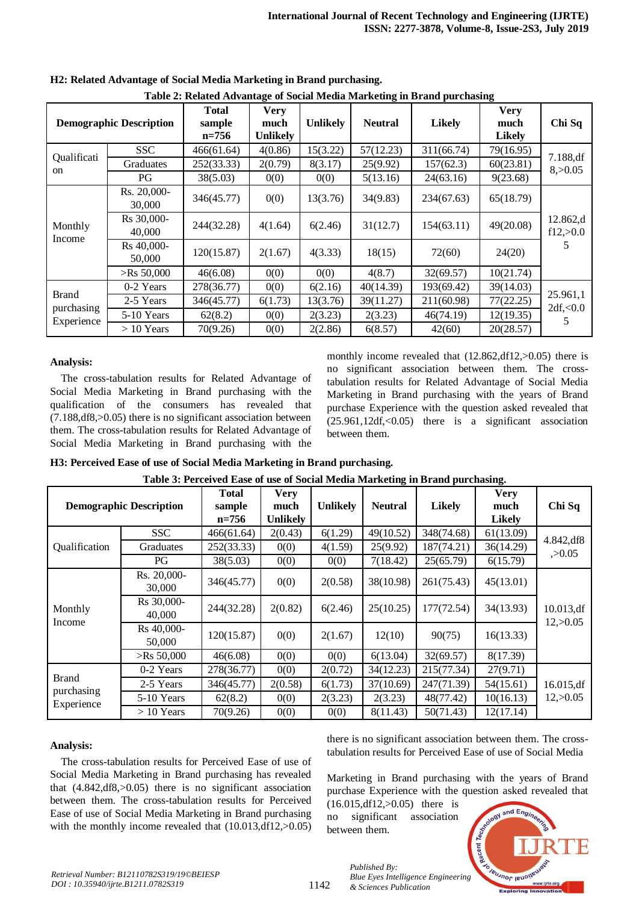| Table 2: Related Advantage of Social Media Marketing in Brand purchasing |                                |                                     |                                        |                 |                |               |                                      |                                   |
|--------------------------------------------------------------------------|--------------------------------|-------------------------------------|----------------------------------------|-----------------|----------------|---------------|--------------------------------------|-----------------------------------|
|                                                                          | <b>Demographic Description</b> | <b>Total</b><br>sample<br>$n = 756$ | <b>Very</b><br>much<br><b>Unlikely</b> | <b>Unlikely</b> | <b>Neutral</b> | <b>Likely</b> | <b>Very</b><br>much<br><b>Likely</b> | Chi Sq                            |
| Qualificati<br>on                                                        | <b>SSC</b>                     | 466(61.64)                          | 4(0.86)                                | 15(3.22)        | 57(12.23)      | 311(66.74)    | 79(16.95)                            |                                   |
|                                                                          | <b>Graduates</b>               | 252(33.33)                          | 2(0.79)                                | 8(3.17)         | 25(9.92)       | 157(62.3)     | 60(23.81)                            | 7.188,df<br>8, >0.05              |
|                                                                          | PG                             | 38(5.03)                            | 0(0)                                   | 0(0)            | 5(13.16)       | 24(63.16)     | 9(23.68)                             |                                   |
|                                                                          | Rs. 20,000-<br>30,000          | 346(45.77)                          | 0(0)                                   | 13(3.76)        | 34(9.83)       | 234(67.63)    | 65(18.79)                            |                                   |
| Monthly<br>Income                                                        | Rs 30,000-<br>40,000           | 244(32.28)                          | 4(1.64)                                | 6(2.46)         | 31(12.7)       | 154(63.11)    | 49(20.08)                            | 12.862,d<br>f12, >0.0             |
|                                                                          | Rs 40,000-<br>50,000           | 120(15.87)                          | 2(1.67)                                | 4(3.33)         | 18(15)         | 72(60)        | 24(20)                               |                                   |
|                                                                          | $>$ Rs 50,000                  | 46(6.08)                            | 0(0)                                   | 0(0)            | 4(8.7)         | 32(69.57)     | 10(21.74)                            |                                   |
| <b>Brand</b><br>purchasing<br>Experience                                 | 0-2 Years                      | 278(36.77)                          | 0(0)                                   | 6(2.16)         | 40(14.39)      | 193(69.42)    | 39(14.03)                            | 25.961,1<br>2df, <0.0<br><u>ר</u> |
|                                                                          | 2-5 Years                      | 346(45.77)                          | 6(1.73)                                | 13(3.76)        | 39(11.27)      | 211(60.98)    | 77(22.25)                            |                                   |
|                                                                          | 5-10 Years                     | 62(8.2)                             | 0(0)                                   | 2(3.23)         | 2(3.23)        | 46(74.19)     | 12(19.35)                            |                                   |
|                                                                          | $> 10$ Years                   | 70(9.26)                            | 0(0)                                   | 2(2.86)         | 6(8.57)        | 42(60)        | 20(28.57)                            |                                   |

**H2: Related Advantage of Social Media Marketing in Brand purchasing.**

# **Table 2: Related Advantage of Social Media Marketing in Brand purchasing**

## **Analysis:**

The cross-tabulation results for Related Advantage of Social Media Marketing in Brand purchasing with the qualification of the consumers has revealed that (7.188,df8,>0.05) there is no significant association between them. The cross-tabulation results for Related Advantage of Social Media Marketing in Brand purchasing with the monthly income revealed that  $(12.862, df12, >0.05)$  there is no significant association between them. The crosstabulation results for Related Advantage of Social Media Marketing in Brand purchasing with the years of Brand purchase Experience with the question asked revealed that (25.961,12df,<0.05) there is a significant association between them.

|  |  |  |  |  | H3: Perceived Ease of use of Social Media Marketing in Brand purchasing. |  |
|--|--|--|--|--|--------------------------------------------------------------------------|--|
|--|--|--|--|--|--------------------------------------------------------------------------|--|

|                                          |                                | Table 9. I Creerved Base of ase of Social Media Marketing in Drama purenasing. |                 |                 |                |               |               |                        |
|------------------------------------------|--------------------------------|--------------------------------------------------------------------------------|-----------------|-----------------|----------------|---------------|---------------|------------------------|
|                                          |                                | Total                                                                          | <b>Very</b>     |                 |                |               | <b>Very</b>   |                        |
|                                          | <b>Demographic Description</b> | sample                                                                         | much            | <b>Unlikely</b> | <b>Neutral</b> | <b>Likely</b> | much          | Chi Sq                 |
|                                          |                                |                                                                                | <b>Unlikely</b> |                 |                |               | <b>Likely</b> |                        |
|                                          | <b>SSC</b>                     | 466(61.64)                                                                     | 2(0.43)         | 6(1.29)         | 49(10.52)      | 348(74.68)    | 61(13.09)     | 4.842,df8              |
| Qualification                            | Graduates                      | 252(33.33)                                                                     | 0(0)            | 4(1.59)         | 25(9.92)       | 187(74.21)    | 36(14.29)     | , >0.05                |
|                                          | PG.                            | 38(5.03)                                                                       | 0(0)            | 0(0)            | 7(18.42)       | 25(65.79)     | 6(15.79)      |                        |
| Monthly<br>Income                        | Rs. 20,000-<br>30,000          | 346(45.77)                                                                     | 0(0)            | 2(0.58)         | 38(10.98)      | 261(75.43)    | 45(13.01)     |                        |
|                                          | Rs 30,000-<br>40,000           | 244(32.28)                                                                     | 2(0.82)         | 6(2.46)         | 25(10.25)      | 177(72.54)    | 34(13.93)     | 10.013,df<br>12, >0.05 |
|                                          | Rs 40,000-<br>50,000           | 120(15.87)                                                                     | 0(0)            | 2(1.67)         | 12(10)         | 90(75)        | 16(13.33)     |                        |
|                                          | $>$ Rs 50,000                  | 46(6.08)                                                                       | 0(0)            | 0(0)            | 6(13.04)       | 32(69.57)     | 8(17.39)      |                        |
| <b>Brand</b><br>purchasing<br>Experience | 0-2 Years                      | 278(36.77)                                                                     | 0(0)            | 2(0.72)         | 34(12.23)      | 215(77.34)    | 27(9.71)      |                        |
|                                          | 2-5 Years                      | 346(45.77)                                                                     | 2(0.58)         | 6(1.73)         | 37(10.69)      | 247(71.39)    | 54(15.61)     | 16.015,df              |
|                                          | 5-10 Years                     | 62(8.2)                                                                        | 0(0)            | 2(3.23)         | 2(3.23)        | 48(77.42)     | 10(16.13)     | 12, >0.05              |
|                                          | $>10$ Years                    | 70(9.26)                                                                       | 0(0)            | 0(0)            | 8(11.43)       | 50(71.43)     | 12(17.14)     |                        |

**Table 3: Perceived Ease of use of Social Media Marketing in Brand purchasing.**

# **Analysis:**

The cross-tabulation results for Perceived Ease of use of Social Media Marketing in Brand purchasing has revealed that (4.842,df8,>0.05) there is no significant association between them. The cross-tabulation results for Perceived Ease of use of Social Media Marketing in Brand purchasing with the monthly income revealed that  $(10.013, df12, >0.05)$  there is no significant association between them. The crosstabulation results for Perceived Ease of use of Social Media

Marketing in Brand purchasing with the years of Brand purchase Experience with the question asked revealed that

(16.015,df12,>0.05) there is no significant association between them.

*& Sciences Publication* 

*Published By:*

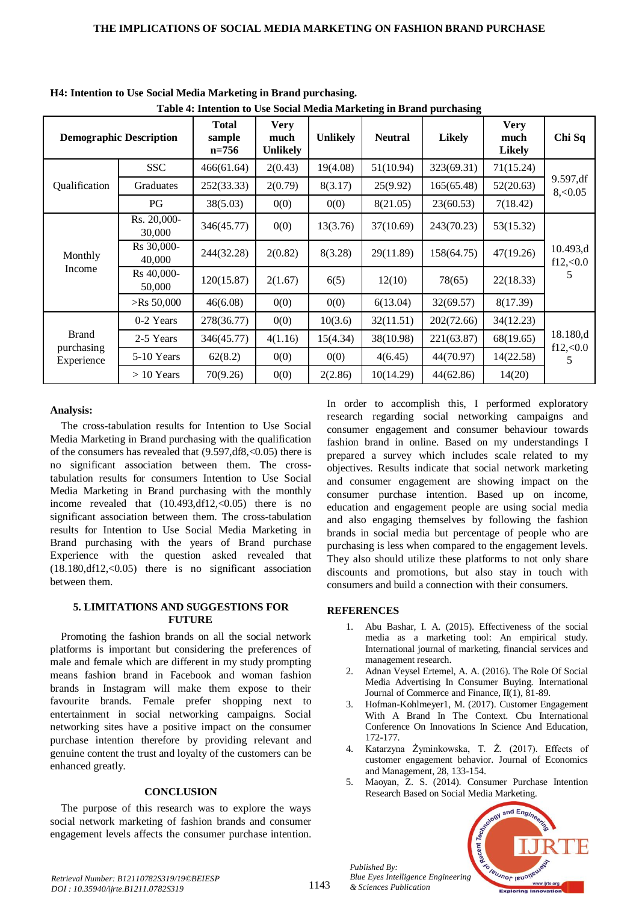|                                          |                                | Table 4: Intention to Use Social Media Marketing in Brand purchasing |                                 |                 |                |               |                                      |                                 |
|------------------------------------------|--------------------------------|----------------------------------------------------------------------|---------------------------------|-----------------|----------------|---------------|--------------------------------------|---------------------------------|
|                                          | <b>Demographic Description</b> | <b>Total</b><br>sample<br>$n=756$                                    | <b>Very</b><br>much<br>Unlikely | <b>Unlikely</b> | <b>Neutral</b> | <b>Likely</b> | <b>Very</b><br>much<br><b>Likely</b> | Chi Sq                          |
|                                          | <b>SSC</b>                     | 466(61.64)                                                           | 2(0.43)                         | 19(4.08)        | 51(10.94)      | 323(69.31)    | 71(15.24)                            |                                 |
| Qualification                            | Graduates                      | 252(33.33)                                                           | 2(0.79)                         | 8(3.17)         | 25(9.92)       | 165(65.48)    | 52(20.63)                            | 9.597,df<br>8, 0.05             |
|                                          | PG                             | 38(5.03)                                                             | 0(0)                            | 0(0)            | 8(21.05)       | 23(60.53)     | 7(18.42)                             |                                 |
| Monthly<br>Income                        | Rs. 20,000-<br>30,000          | 346(45.77)                                                           | 0(0)                            | 13(3.76)        | 37(10.69)      | 243(70.23)    | 53(15.32)                            | 10.493,d<br>$f12,\leq 0.0$<br>5 |
|                                          | Rs 30,000-<br>40,000           | 244(32.28)                                                           | 2(0.82)                         | 8(3.28)         | 29(11.89)      | 158(64.75)    | 47(19.26)                            |                                 |
|                                          | Rs 40,000-<br>50,000           | 120(15.87)                                                           | 2(1.67)                         | 6(5)            | 12(10)         | 78(65)        | 22(18.33)                            |                                 |
|                                          | $>$ Rs 50,000                  | 46(6.08)                                                             | 0(0)                            | 0(0)            | 6(13.04)       | 32(69.57)     | 8(17.39)                             |                                 |
| <b>Brand</b><br>purchasing<br>Experience | 0-2 Years                      | 278(36.77)                                                           | 0(0)                            | 10(3.6)         | 32(11.51)      | 202(72.66)    | 34(12.23)                            | 18.180,d<br>f12,0.0<br>5        |
|                                          | 2-5 Years                      | 346(45.77)                                                           | 4(1.16)                         | 15(4.34)        | 38(10.98)      | 221(63.87)    | 68(19.65)                            |                                 |
|                                          | 5-10 Years                     | 62(8.2)                                                              | 0(0)                            | 0(0)            | 4(6.45)        | 44(70.97)     | 14(22.58)                            |                                 |
|                                          | $> 10$ Years                   | 70(9.26)                                                             | 0(0)                            | 2(2.86)         | 10(14.29)      | 44(62.86)     | 14(20)                               |                                 |

**H4: Intention to Use Social Media Marketing in Brand purchasing.**

# **Table 4: Intention to Use Social Media Marketing in Brand purchasing**

# **Analysis:**

The cross-tabulation results for Intention to Use Social Media Marketing in Brand purchasing with the qualification of the consumers has revealed that (9.597,df8,<0.05) there is no significant association between them. The crosstabulation results for consumers Intention to Use Social Media Marketing in Brand purchasing with the monthly income revealed that  $(10.493, df12, <0.05)$  there is no significant association between them. The cross-tabulation results for Intention to Use Social Media Marketing in Brand purchasing with the years of Brand purchase Experience with the question asked revealed that (18.180,df12,<0.05) there is no significant association between them.

## **5. LIMITATIONS AND SUGGESTIONS FOR FUTURE**

Promoting the fashion brands on all the social network platforms is important but considering the preferences of male and female which are different in my study prompting means fashion brand in Facebook and woman fashion brands in Instagram will make them expose to their favourite brands. Female prefer shopping next to entertainment in social networking campaigns. Social networking sites have a positive impact on the consumer purchase intention therefore by providing relevant and genuine content the trust and loyalty of the customers can be enhanced greatly.

# **CONCLUSION**

The purpose of this research was to explore the ways social network marketing of fashion brands and consumer engagement levels affects the consumer purchase intention. In order to accomplish this, I performed exploratory research regarding social networking campaigns and consumer engagement and consumer behaviour towards fashion brand in online. Based on my understandings I prepared a survey which includes scale related to my objectives. Results indicate that social network marketing and consumer engagement are showing impact on the consumer purchase intention. Based up on income, education and engagement people are using social media and also engaging themselves by following the fashion brands in social media but percentage of people who are purchasing is less when compared to the engagement levels. They also should utilize these platforms to not only share discounts and promotions, but also stay in touch with consumers and build a connection with their consumers.

# **REFERENCES**

- 1. Abu Bashar, I. A. (2015). Effectiveness of the social media as a marketing tool: An empirical study. International journal of marketing, financial services and management research.
- 2. Adnan Veysel Ertemel, A. A. (2016). The Role Of Social Media Advertising In Consumer Buying. International Journal of Commerce and Finance, II(1), 81-89.
- 3. Hofman-Kohlmeyer1, M. (2017). Customer Engagement With A Brand In The Context. Cbu International Conference On Innovations In Science And Education, 172-177.
- 4. Katarzyna Żyminkowska, T. Ż. (2017). Effects of customer engagement behavior. Journal of Economics and Management, 28, 133-154.
- 5. Maoyan, Z. S. (2014). Consumer Purchase Intention Research Based on Social Media Marketing.



*Retrieval Number: B12110782S319/19©BEIESP DOI : 10.35940/ijrte.B1211.0782S319*

*Published By:*

*& Sciences Publication*